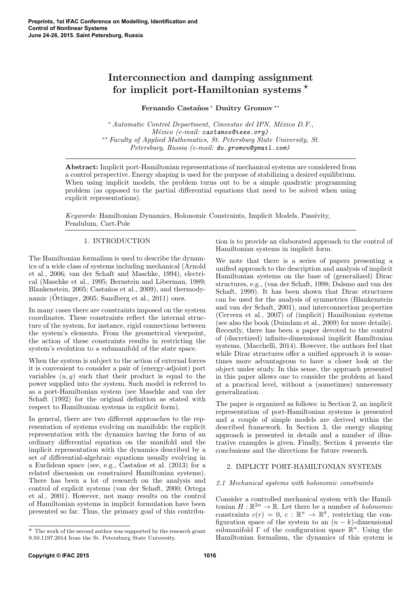# Interconnection and damping assignment for implicit port-Hamiltonian systems  $\star$

# Fernando Castaños \* Dmitry Gromov \*\*

<sup>∗</sup> Automatic Control Department, Cinvestav del IPN, M´exico D.F.,  $México$  (e-mail: castanos@ieee.org) ∗∗ Faculty of Applied Mathematics, St. Petersburg State University, St. Petersburg, Russia (e-mail: dv. gromov@gmail.com)

Abstract: Implicit port-Hamiltonian representations of mechanical systems are considered from a control perspective. Energy shaping is used for the purpose of stabilizing a desired equilibrium. When using implicit models, the problem turns out to be a simple quadratic programming problem (as opposed to the partial differential equations that need to be solved when using explicit representations).

Keywords: Hamiltonian Dynamics, Holonomic Constraints, Implicit Models, Passivity, Pendulum, Cart-Pole

# 1. INTRODUCTION

The Hamiltonian formalism is used to describe the dynamics of a wide class of systems including mechanical (Arnold et al., 2006; van der Schaft and Maschke, 1994), electrical (Maschke et al., 1995; Bernstein and Liberman, 1989; Blankenstein, 2005; Castaños et al., 2009), and thermodynamic (Öttinger, 2005; Sandberg et al., 2011) ones.

In many cases there are constraints imposed on the system coordinates. These constraints reflect the internal structure of the system, for instance, rigid connections between the system's elements. From the geometrical viewpoint, the action of these constraints results in restricting the system's evolution to a submanifold of the state space.

When the system is subject to the action of external forces it is convenient to consider a pair of (energy-adjoint) port variables  $(u, y)$  such that their product is equal to the power supplied into the system. Such model is referred to as a port-Hamiltonian system (see Maschke and van der Schaft (1992) for the original definition as stated with respect to Hamiltonian systems in explicit form).

In general, there are two different approaches to the representation of systems evolving on manifolds: the explicit representation with the dynamics having the form of an ordinary differential equation on the manifold and the implicit representation with the dynamics described by a set of differential-algebraic equations usually evolving in a Euclidean space (see, e.g., Castaños et al. (2013) for a related discussion on constrained Hamiltonian systems). There has been a lot of research on the analysis and control of explicit systems (van der Schaft, 2000; Ortega et al., 2001). However, not many results on the control of Hamiltonian systems in implicit formulation have been presented so far. Thus, the primary goal of this contribution is to provide an elaborated approach to the control of Hamiltonian systems in implicit form.

We note that there is a series of papers presenting a unified approach to the description and analysis of implicit Hamiltonian systems on the base of (generalized) Dirac structures, e.g., (van der Schaft, 1998; Dalsmo and van der Schaft, 1999). It has been shown that Dirac structures can be used for the analysis of symmetries (Blankenstein and van der Schaft, 2001), and interconnection properties (Cervera et al., 2007) of (implicit) Hamiltonian systems (see also the book (Duindam et al., 2009) for more details). Recently, there has been a paper devoted to the control of (discretized) infinite-dimensional implicit Hamiltonian systems, (Macchelli, 2014). However, the authors feel that while Dirac structures offer a unified approach it is sometimes more advantageous to have a closer look at the object under study. In this sense, the approach presented in this paper allows one to consider the problem at hand at a practical level, without a (sometimes) unnecessary generalization.

The paper is organized as follows: in Section 2, an implicit representation of port-Hamiltonian systems is presented and a couple of simple models are derived within the described framework. In Section 3, the energy shaping approach is presented in details and a number of illustrative examples is given. Finally, Section 4 presents the conclusions and the directions for future research.

# 2. IMPLICIT PORT-HAMILTONIAN SYSTEMS

# 2.1 Mechanical systems with holonomic constraints

Consider a controlled mechanical system with the Hamiltonian  $H : \mathbb{R}^{2n} \to \mathbb{R}$ . Let there be a number of *holonomic* constraints  $c(r) = 0, c : \mathbb{R}^n \to \mathbb{R}^k$ , restricting the configuration space of the system to an  $(n - k)$ -dimensional submanifold  $\Gamma$  of the configuration space  $\mathbb{R}^n$ . Using the Hamiltonian formalism, the dynamics of this system is

 $^\star\,$  The work of the second author was supported by the research grant 9.50.1197.2014 from the St. Petersburg State University.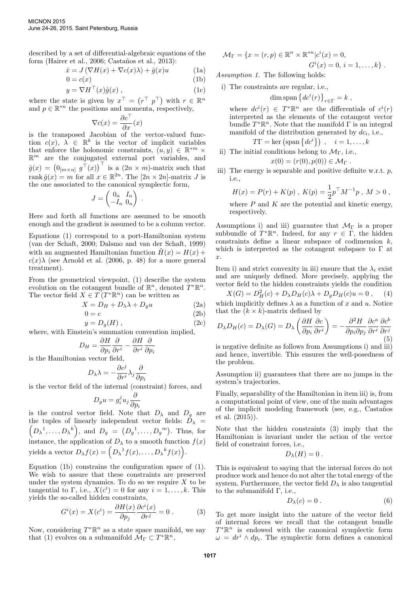described by a set of differential-algebraic equations of the form (Hairer et al., 2006; Castaños et al., 2013):

$$
\dot{x} = J(\nabla H(x) + \nabla c(x)\lambda) + \hat{g}(x)u \tag{1a}
$$

$$
0 = c(x) \tag{1b}
$$

$$
y = \nabla H^{\top}(x)\hat{g}(x) , \qquad (1c)
$$

where the state is given by  $x^{\top} = (r^{\top} p^{\top})$  with  $r \in \mathbb{R}^{n}$ and  $p \in \mathbb{R}^{n}$  the positions and momenta, respectively,

$$
\nabla c(x) = \frac{\partial c^{\top}}{\partial x}(x)
$$

is the transposed Jacobian of the vector-valued function  $c(x)$ ,  $\lambda \in \mathbb{R}^k$  is the vector of implicit variables that enforce the holonomic constraints,  $(u, y) \in \mathbb{R}^{m} \times$  $\mathbb{R}^m$  are the conjugated external port variables, and  $\hat{g}(x) = (0_{m \times n}, g^{\top}(x))^{\top}$  is a  $(2n \times m)$ -matrix such that rank  $\hat{g}(x) = m$  for all  $x \in \mathbb{R}^{2n}$ . The  $[2n \times 2n]$ -matrix J is the one associated to the canonical symplectic form,

$$
J = \begin{pmatrix} 0_n & I_n \\ -I_n & 0_n \end{pmatrix} .
$$

Here and forth all functions are assumed to be smooth enough and the gradient is assumed to be a column vector.

Equations (1) correspond to a port-Hamiltonian system (van der Schaft, 2000; Dalsmo and van der Schaft, 1999) with an augmented Hamiltonian function  $H(x) = H(x) +$  $c(x)\lambda$  (see Arnold et al. (2006, p. 48) for a more general treatment).

From the geometrical viewpoint, (1) describe the system evolution on the cotangent bundle of  $\mathbb{R}^n$ , denoted  $T^*\mathbb{R}^n$ . The vector field  $X \in \widetilde{T}(T^*\mathbb{R}^n)$  can be written as

$$
X = D_H + D_{\lambda}\lambda + D_g u \tag{2a}
$$
  
0 = c \tag{2b}

$$
y = D_g(H) \tag{2c}
$$

where, with Einstein's summation convention implied, ∂H ∂ ∂H ∂

$$
D_H = \frac{\partial H}{\partial p_i} \frac{\partial}{\partial r^i} - \frac{\partial H}{\partial r^i} \frac{\partial}{\partial p_i}
$$

is the Hamiltonian vector field,

$$
D_\lambda \lambda = - \frac{\partial c^j}{\partial r^i} \lambda_j \frac{\partial}{\partial p_i}
$$

is the vector field of the internal (constraint) forces, and

$$
D_g u = g_i^j u_j \frac{\partial}{\partial p_i}
$$

is the control vector field. Note that  $D_{\lambda}$  and  $D_g$  are  $(D_\lambda^{-1}, \ldots, D_\lambda^{-k})$ , and  $D_g = (D_g^{-1}, \ldots, D_g^{-m})$ . Thus, for the tuples of linearly independent vector fields:  $\vec{D}_{\lambda}$  = instance, the application of  $D_{\lambda}$  to a smooth function  $f(x)$ yields a vector  $D_{\lambda} f(x) = (D_{\lambda}^{-1} f(x), \ldots, D_{\lambda}^{-k} f(x)).$ 

Equation (1b) constrains the configuration space of (1). We wish to assure that these constraints are preserved under the system dynamics. To do so we require  $X$  to be tangential to  $\Gamma$ , i.e.,  $X(c^i) = 0$  for any  $i = 1, ..., k$ . This yields the so-called hidden constraints,

$$
G^{i}(x) = X(c^{i}) = \frac{\partial H(x)}{\partial p_{j}} \frac{\partial c^{i}(x)}{\partial r^{j}} = 0.
$$
 (3)

Now, considering  $T^*\mathbb{R}^n$  as a state space manifold, we say that (1) evolves on a submanifold  $\mathcal{M}_{\Gamma} \subset T^*\mathbb{R}^n$ ,

$$
\mathcal{M}_{\Gamma} = \{x = (r, p) \in \mathbb{R}^n \times \mathbb{R}^{*n} | c^i(x) = 0, G^i(x) = 0, i = 1, ..., k \}.
$$

Assumption 1. The following holds:

i) The constraints are regular, i.e.,

$$
\dim \operatorname{span} \left\{ d c^i(r) \right\}_{r \in \Gamma} = k ,
$$

where  $dc^i(r) \in T^*\mathbb{R}^n$  are the differentials of  $c^i(r)$ interpreted as the elements of the cotangent vector bundle  $T^*\mathbb{R}^n$ . Note that the manifold  $\Gamma$  is an integral manifold of the distribution generated by  $dc_i$ , i.e.,

$$
T\Gamma = \ker \left(\text{span}\left\{dc^{i}\right\}\right) , \quad i = 1, \ldots, k
$$

ii) The initial conditions belong to  $\mathcal{M}_{\Gamma}$ , i.e.,

$$
x(0)=(r(0),p(0))\in \mathcal{M}_{\Gamma} .
$$

iii) The energy is separable and positive definite w.r.t.  $p$ , i.e.,

$$
H(x) = P(r) + K(p) , K(p) = \frac{1}{2} p^{\top} M^{-1} p , M > 0 ,
$$

where  $P$  and  $K$  are the potential and kinetic energy, respectively.

Assumptions i) and iii) guarantee that  $\mathcal{M}_{\Gamma}$  is a proper subbundle of  $T^*\mathbb{R}^n$ . Indeed, for any  $r \in \Gamma$ , the hidden constraints define a linear subspace of codimension  $k$ , which is interpreted as the cotangent subspace to  $\Gamma$  at  $\hat{x}$ .

Item i) and strict convexity in iii) ensure that the  $\lambda_i$  exist and are uniquely defined. More precisely, applying the vector field to the hidden constraints yields the condition

$$
X(G) = D_H^2(c) + D_{\lambda}D_H(c)\lambda + D_gD_H(c)u = 0, \quad (4)
$$
  
which implicitly defines  $\lambda$  as a function of x and u. Notice  
that the  $(k \times k)$ -matrix defined by

$$
D_{\lambda}D_{H}(c) = D_{\lambda}(G) = D_{\lambda}\left(\frac{\partial H}{\partial p_{i}}\frac{\partial c}{\partial r^{i}}\right) = -\frac{\partial^{2} H}{\partial p_{i}\partial p_{j}}\frac{\partial c^{a}}{\partial r^{i}}\frac{\partial c^{b}}{\partial r^{j}}
$$
(5)

is negative definite as follows from Assumptions i) and iii) and hence, invertible. This ensures the well-posedness of the problem.

Assumption ii) guarantees that there are no jumps in the system's trajectories.

Finally, separability of the Hamiltonian in item iii) is, from a computational point of view, one of the main advantages of the implicit modeling framework (see, e.g., Castaños et al. (2015)).

Note that the hidden constraints (3) imply that the Hamiltonian is invariant under the action of the vector field of constraint forces, i.e.,

$$
D_{\lambda}(H)=0\;.
$$

This is equivalent to saying that the internal forces do not produce work and hence do not alter the total energy of the system. Furthermore, the vector field  $D_{\lambda}$  is also tangential to the submanifold Γ, i.e.,

$$
D_{\lambda}(c) = 0. \tag{6}
$$

To get more insight into the nature of the vector field of internal forces we recall that the cotangent bundle  $T^*\mathbb{R}^n$  is endowed with the canonical symplectic form  $\omega = dr^i \wedge dp_i$ . The symplectic form defines a canonical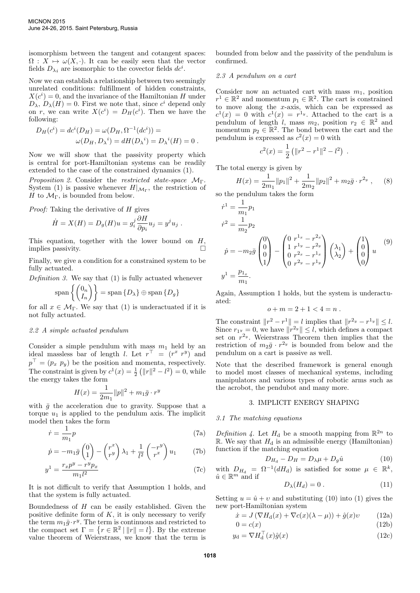isomorphism between the tangent and cotangent spaces:  $\Omega: X \mapsto \omega(X, \cdot)$ . It can be easily seen that the vector fields  $D_{\lambda i}$  are isomorphic to the covector fields  $dc^{i}$ .

Now we can establish a relationship between two seemingly unrelated conditions: fulfillment of hidden constraints,  $X(c^i) = 0$ , and the invariance of the Hamiltonian H under  $D_{\lambda}, D_{\lambda}(H) = 0$ . First we note that, since  $c^{i}$  depend only on r, we can write  $X(c^i) = D_H(c^i)$ . Then we have the following:

$$
D_H(c^i) = dc^i(D_H) = \omega(D_H, \Omega^{-1}(dc^i)) =
$$
  

$$
\omega(D_H, D_{\lambda}{}^i) = dH(D_{\lambda}{}^i) = D_{\lambda}{}^i(H) = 0.
$$

Now we will show that the passivity property which is central for port-Hamiltonian systems can be readily extended to the case of the constrained dynamics (1).

*Proposition 2.* Consider the *restricted state-space*  $M_{\Gamma}$ . System (1) is passive whenever  $H|_{\mathcal{M}_{\Gamma}}$ , the restriction of H to  $\mathcal{M}_{\Gamma}$ , is bounded from below.

Proof: Taking the derivative of H gives

$$
\dot{H} = X(H) = D_g(H)u = g_i^j \frac{\partial H}{\partial p_i} u_j = y^j u_j.
$$

This equation, together with the lower bound on  $H$ , implies passivity.

Finally, we give a condition for a constrained system to be fully actuated.

Definition 3. We say that  $(1)$  is fully actuated whenever

$$
\text{span}\left\{ \begin{pmatrix} 0_n \\ I_n \end{pmatrix} \right\} = \text{span}\left\{ D_{\lambda} \right\} \oplus \text{span}\left\{ D_g \right\}
$$

for all  $x \in \mathcal{M}_{\Gamma}$ . We say that (1) is underactuated if it is not fully actuated.

### 2.2 A simple actuated pendulum

Consider a simple pendulum with mass  $m_1$  held by an ideal massless bar of length l. Let  $r^{\top} = (r^x r^y)$  and  $p^{\top} = (p_x, p_y)$  be the position and momenta, respectively. The constraint is given by  $c^1(x) = \frac{1}{2} (||r||^2 - l^2) = 0$ , while the energy takes the form

$$
H(x) = \frac{1}{2m_1} ||p||^2 + m_1 \bar{g} \cdot r^y
$$

with  $\bar{g}$  the acceleration due to gravity. Suppose that a torque  $u_1$  is applied to the pendulum axis. The implicit model then takes the form

$$
\dot{r} = \frac{1}{m_1}p\tag{7a}
$$

$$
\dot{p} = -m_1 \bar{g} \begin{pmatrix} 0 \\ 1 \end{pmatrix} - \begin{pmatrix} r^x \\ r^y \end{pmatrix} \lambda_1 + \frac{1}{l^2} \begin{pmatrix} -r^y \\ r^x \end{pmatrix} u_1 \qquad (7b)
$$

$$
y^{1} = \frac{r_{x}p^{y} - r^{y}p_{x}}{m_{1}l^{2}}
$$
 (7c)

It is not difficult to verify that Assumption 1 holds, and that the system is fully actuated.

Boundedness of  $H$  can be easily established. Given the positive definite form of  $K$ , it is only necessary to verify the term  $m_1 \bar{g} \cdot r^y$ . The term is continuous and restricted to the compact set  $\Gamma = \{r \in \mathbb{R}^2 \mid ||r|| = l\}$ . By the extreme value theorem of Weierstrass, we know that the term is

bounded from below and the passivity of the pendulum is confirmed.

### 2.3 A pendulum on a cart

Consider now an actuated cart with mass  $m_1$ , position  $r^1 \in \mathbb{R}^2$  and momentum  $p_1 \in \mathbb{R}^2$ . The cart is constrained to move along the  $x$ -axis, which can be expressed as  $c^{1}(x) = 0$  with  $c^{1}(x) = r^{1}$ . Attached to the cart is a pendulum of length l, mass  $m_2$ , position  $r_2 \in \mathbb{R}^2$  and momentum  $p_2 \in \mathbb{R}^2$ . The bond between the cart and the pendulum is expressed as  $c^2(x) = 0$  with

$$
c^{2}(x) = \frac{1}{2} (||r^{2} - r^{1}||^{2} - l^{2}).
$$

The total energy is given by

$$
H(x) = \frac{1}{2m_1} ||p_1||^2 + \frac{1}{2m_2} ||p_2||^2 + m_2 \bar{g} \cdot r^{2_y}, \quad (8)
$$

so the pendulum takes the form

$$
\dot{r}^{1} = \frac{1}{m_{1}} p_{1}
$$
\n
$$
\dot{r}^{2} = \frac{1}{m_{2}} p_{2}
$$
\n
$$
\dot{p} = -m_{2}\bar{g} \begin{pmatrix} 0 \\ 0 \\ 0 \\ 1 \end{pmatrix} - \begin{pmatrix} 0 \\ 1 \\ 1 \\ 0 \\ r^{2x} - r^{1x} \\ 0 \\ r^{2y} - r^{1y} \end{pmatrix} \begin{pmatrix} \lambda_{1} \\ \lambda_{2} \end{pmatrix} + \begin{pmatrix} 1 \\ 0 \\ 0 \\ 0 \end{pmatrix} u \qquad (9)
$$
\n
$$
y^{1} = \frac{p_{1x}}{m_{1}}.
$$

Again, Assumption 1 holds, but the system is underactuated:

$$
o + m = 2 + 1 < 4 = n \; .
$$

The constraint  $||r^2 - r^1|| = l$  implies that  $||r^{2y} - r^{1y}|| \leq l$ . Since  $r_{1y} = 0$ , we have  $||r^{2y}|| \leq l$ , which defines a compact set on  $r^{2y}$ . Weierstrass Theorem then implies that the restriction of  $m_2\bar{g} \cdot r^{2_y}$  is bounded from below and the pendulum on a cart is passive as well.

Note that the described framework is general enough to model most classes of mechanical systems, including manipulators and various types of robotic arms such as the acrobot, the pendubot and many more.

#### 3. IMPLICIT ENERGY SHAPING

# 3.1 The matching equations

Definition 4. Let  $H_d$  be a smooth mapping from  $\mathbb{R}^{2n}$  to  $\mathbb{R}$ . We say that  $H_d$  is an admissible energy (Hamiltonian) function if the matching equation

$$
D_{H_d} - D_H = D_\lambda \mu + D_g \hat{u} \tag{10}
$$

with  $D_{H_d} = \Omega^{-1}(dH_d)$  is satisfied for some  $\mu \in \mathbb{R}^k$ ,  $\hat{u} \in \mathbb{R}^m$  and if

$$
D_{\lambda}(H_d) = 0. \tag{11}
$$

Setting  $u = \hat{u} + v$  and substituting (10) into (1) gives the new port-Hamiltonian system

$$
\dot{x} = J(\nabla H_d(x) + \nabla c(x)(\lambda - \mu)) + \hat{g}(x)v \tag{12a}
$$

$$
0 = c(x) \tag{12b}
$$

$$
y_{\mathbf{d}} = \nabla H_{\mathbf{d}}^{\top}(x)\hat{g}(x) \tag{12c}
$$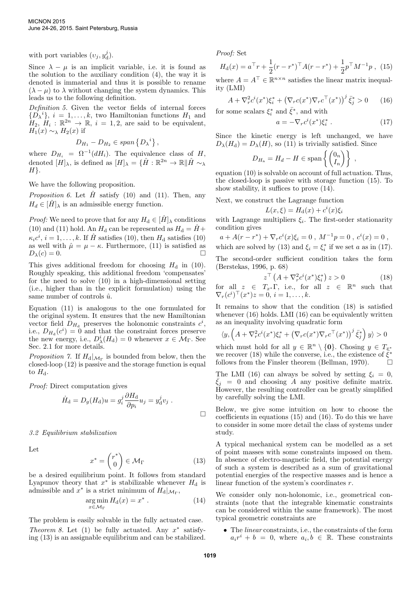with port variables  $(v_j, y_d^j)$ .

Since  $\lambda - \mu$  is an implicit variable, i.e. it is found as the solution to the auxiliary condition (4), the way it is denoted is immaterial and thus it is possible to rename  $(\lambda - \mu)$  to  $\lambda$  without changing the system dynamics. This leads us to the following definition.

Definition 5. Given the vector fields of internal forces  $\{D_\lambda^i\}, i = 1, \ldots, k$ , two Hamiltonian functions  $H_1$  and  $H_2, H_i: \mathbb{R}^{2n} \to \mathbb{R}, i = 1, 2$ , are said to be equivalent,  $H_1(x) \sim_\lambda H_2(x)$  if

$$
D_{H_1} - D_{H_2} \in span\left\{D_{\lambda}^i\right\},\
$$

where  $D_{H_i} = \Omega^{-1}(dH_i)$ . The equivalence class of H, denoted  $[H]_{\lambda}$ , is defined as  $[H]_{\lambda} = \{ \hat{H} : \mathbb{R}^{2n} \to \mathbb{R} \|\hat{H} \sim_{\lambda}$  $H$ .

We have the following proposition.

*Proposition 6.* Let  $\hat{H}$  satisfy (10) and (11). Then, any  $H_d \in [\hat{H}]_\lambda$  is an admissible energy function.

*Proof:* We need to prove that for any  $H_d \in [\hat{H}]_\lambda$  conditions (10) and (11) hold. An  $H_{\rm d}$  can be represented as  $H_{\rm d} = \ddot{H} +$  $\kappa_i c^i$ ,  $i = 1, ..., k$ . If  $\hat{H}$  satisfies (10), then  $H_d$  satisfies (10) as well with  $\hat{\mu} = \mu - \kappa$ . Furthermore, (11) is satisfied as  $D_{\lambda}(c) = 0.$ 

This gives additional freedom for choosing  $H<sub>d</sub>$  in (10). Roughly speaking, this additional freedom 'compensates' for the need to solve (10) in a high-dimensional setting (i.e., higher than in the explicit formulation) using the same number of controls  $\hat{u}$ .

Equation (11) is analogous to the one formulated for the original system. It ensures that the new Hamiltonian vector field  $D_{H_d}$  preserves the holonomic constraints  $c^i$ , i.e.,  $D_{H_d}(c^i) = 0$  and that the constraint forces preserve the new energy, i.e.,  $D^i_\lambda(H_\mathrm{d})=0$  whenever  $x \in \mathcal{M}_{\Gamma}$ . See Sec. 2.1 for more details.

*Proposition 7.* If  $H_d|_{\mathcal{M}_{\Gamma}}$  is bounded from below, then the closed-loop (12) is passive and the storage function is equal to  $H_d$ .

Proof: Direct computation gives

$$
\dot{H}_{\rm d} = D_g(H_{\rm d})u = g_i^j \frac{\partial H_{\rm d}}{\partial p_i} u_j = y_{\rm d}^j v_j.
$$

3.2 Equilibrium stabilization

Let

$$
x^* = \begin{pmatrix} r^* \\ 0 \end{pmatrix} \in \mathcal{M}_\Gamma \tag{13}
$$

be a desired equilibrium point. It follows from standard Lyapunov theory that  $x^*$  is stabilizable whenever  $H_d$  is admissible and  $x^*$  is a strict minimum of  $H_d|_{\mathcal{M}_{\Gamma}}$ ,

$$
\underset{x \in \mathcal{M}_{\Gamma}}{\arg \min} H_{\mathbf{d}}(x) = x^* \tag{14}
$$

The problem is easily solvable in the fully actuated case. Theorem 8. Let  $(1)$  be fully actuated. Any  $x^*$  satisfying (13) is an assignable equilibrium and can be stabilized. Proof: Set

$$
H_{\rm d}(x) = a^{\top}r + \frac{1}{2}(r - r^*)^{\top}A(r - r^*) + \frac{1}{2}p^{\top}M^{-1}p \ , \ (15)
$$

where  $A = A^{\top} \in \mathbb{R}^{n \times n}$  satisfies the linear matrix inequality (LMI)

$$
A + \nabla_r^2 c^i(x^*) \xi_i^* + \left(\nabla_r c(x^*) \nabla_r c^\top(x^*)\right)^j \bar{\xi}_j^* > 0 \tag{16}
$$

for some scalars  $\xi_i^*$  and  $\bar{\xi}^*$ , and with

$$
a = -\nabla_r c^i(x^*)\xi_i^* \t\t(17)
$$

Since the kinetic energy is left unchanged, we have  $D_{\lambda}(H_{\rm d})=D_{\lambda}(H)$ , so (11) is trivially satisfied. Since

$$
D_{H_a} = H_d - H \in \text{span}\left\{ \begin{pmatrix} 0_n \\ I_n \end{pmatrix} \right\},\,
$$

equation (10) is solvable on account of full actuation. Thus, the closed-loop is passive with storage function (15). To show stability, it suffices to prove (14).

Next, we construct the Lagrange function

$$
L(x,\xi) = H_{\mathrm{d}}(x) + c^{i}(x)\xi_{i}
$$

with Lagrange multipliers  $\xi_i$ . The first-order stationarity condition gives  $i \in \mathbb{N}$ 

$$
a + A(r - r^*) + \nabla_r c^i(x)\xi_i = 0, M^{-1}p = 0, c^i(x) = 0,
$$
  
which are solved by (13) and  $\xi_i = \xi_i^*$  if we set a as in (17).

The second-order sufficient condition takes the form (Berstekas, 1996, p. 68)

$$
z^{\top} \left( A + \nabla_r^2 c^i(x^*) \xi_i^* \right) z > 0 \tag{18}
$$

for all  $z \in T_{x^*}$  *Γ*, i.e., for all  $z \in \mathbb{R}^n$  such that  $\nabla_r(c^i)^\top(x^*)z = 0, i = 1, \ldots, k.$ 

It remains to show that the condition (18) is satisfied whenever (16) holds. LMI (16) can be equivalently written as an inequality involving quadratic form

$$
\langle y, \left( A + \nabla_r^2 c^i(x^*) \xi_i^* + \left( \nabla_r c(x^*) \nabla_r c^\top(x^*) \right)^j \bar{\xi}_j^* \right) y \rangle > 0
$$

which must hold for all  $y \in \mathbb{R}^n \setminus \{0\}$ . Chosing  $y \in T_{\underline{x}^*}$ we recover (18) while the converse, i.e., the existence of  $\bar{\bar{\xi}}^*$ follows from the Finsler theorem (Bellman, 1970).

The LMI (16) can always be solved by setting  $\xi_i = 0$ ,  $\xi_j = 0$  and choosing A any positive definite matrix. However, the resulting controller can be greatly simplified by carefully solving the LMI.

Below, we give some intuition on how to choose the coefficients in equations (15) and (16). To do this we have to consider in some more detail the class of systems under study.

A typical mechanical system can be modelled as a set of point masses with some constraints imposed on them. In absence of electro-magnetic field, the potential energy of such a system is described as a sum of gravitational potential energies of the respective masses and is hence a linear function of the system's coordinates r.

We consider only non-holonomic, i.e., geometrical constraints (note that the integrable kinematic constraints can be considered within the same framework). The most typical geometric constraints are

• The linear constraints, i.e., the constraints of the form  $a_i r^i + b = 0$ , where  $a_i, b \in \mathbb{R}$ . These constraints

 $\Box$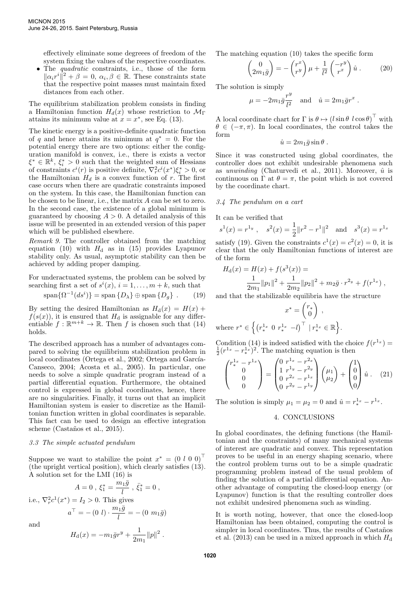effectively eliminate some degreees of freedom of the system fixing the values of the respective coordinates.

The *quadratic* constraints, i.e., those of the form  $\|\alpha_i r^i\|^2 + \beta = 0, \ \alpha_i, \beta \in \mathbb{R}$ . These constraints state that the respective point masses must maintain fixed distances from each other.

The equilibrium stabilization problem consists in finding a Hamiltonian function  $H_d(x)$  whose restriction to  $\mathcal{M}_{\Gamma}$ attains its minimum value at  $x = x^*$ , see Eq. (13).

The kinetic energy is a positive-definite quadratic function of q and hence attains its minimum at  $q^* = 0$ . For the potential energy there are two options: either the configuration manifold is convex, i.e., there is exists a vector  $\xi^* \in \mathbb{R}^k$ ,  $\xi_i^* > 0$  such that the weighted sum of Hessians of constraints  $c^i(r)$  is positive definite,  $\nabla_r^2 c^i(x^*) \xi_i^* > 0$ , or the Hamiltonian  $H_d$  is a convex function of r. The first case occurs when there are quadratic constraints imposed on the system. In this case, the Hamiltonian function can be chosen to be linear, i.e., the matrix A can be set to zero. In the second case, the existence of a global minimum is guaranteed by choosing  $A > 0$ . A detailed analysis of this issue will be presented in an extended version of this paper which will be published elsewhere.

Remark 9. The controller obtained from the matching equation (10) with  $H<sub>d</sub>$  as in (15) provides Lyapunov stability only. As usual, asymptotic stability can then be achieved by adding proper damping.

For underactuated systems, the problem can be solved by searching first a set of  $s^i(x)$ ,  $i = 1, \ldots, m + k$ , such that

$$
\text{span}\{\Omega^{-1}(ds^i)\} = \text{span}\{D_\lambda\} \oplus \text{span}\{D_g\} . \tag{19}
$$

By setting the desired Hamiltonian as  $H_d(x) = H(x) +$  $f(s(x))$ , it is ensured that  $H_d$  is assignable for any differentiable  $f : \mathbb{R}^{m+k} \to \mathbb{R}$ . Then f is chosen such that (14) holds.

The described approach has a number of advantages compared to solving the equilibrium stabilization problem in local coordinates (Ortega et al., 2002; Ortega and García-Canseco, 2004; Acosta et al., 2005). In particular, one needs to solve a simple quadratic program instead of a partial differential equation. Furthermore, the obtained control is expressed in global coordinates, hence, there are no singularities. Finally, it turns out that an implicit Hamiltonian system is easier to discretize as the Hamiltonian function written in global coordinates is separable. This fact can be used to design an effective integration scheme (Castaños et al., 2015).

### 3.3 The simple actuated pendulum

Suppose we want to stabilize the point  $x^* = (0 l 0 0)^T$ (the upright vertical position), which clearly satisfies (13). A solution set for the LMI (16) is

$$
A = 0 \; , \; \xi_1^* = \frac{m_1 \bar{g}}{l} \; , \; \bar{\xi}_1^* = 0 \; ,
$$

i.e.,  $\nabla_r^2 c^1(x^*) = I_2 > 0$ . This gives

$$
a^{\top} = -(0 \ l) \cdot \frac{m_1 \bar{g}}{l} = -(0 \ m_1 \bar{g})
$$

and

$$
H_{\rm d}(x) = -m_1 \bar{g}r^y + \frac{1}{2m_1} ||p||^2.
$$

The matching equation (10) takes the specific form

$$
\begin{pmatrix} 0\\2m_1\bar{g}\end{pmatrix} = -\begin{pmatrix} r^x\\r^y\end{pmatrix} \mu + \frac{1}{l^2} \begin{pmatrix} -r^y\\r^x\end{pmatrix} \hat{u} . \tag{20}
$$

The solution is simply

$$
\mu = -2m_1\bar{g}\frac{r^y}{l^2} \quad \text{and} \quad \hat{u} = 2m_1\bar{g}r^x \ .
$$

A local coordinate chart for  $\Gamma$  is  $\theta \mapsto (l \sin \theta \ l \cos \theta)^{\top}$  with  $\theta \in (-\pi, \pi)$ . In local coordinates, the control takes the form

$$
\hat{u} = 2m_1 \bar{g} \sin \theta .
$$

Since it was constructed using global coordinates, the controller does not exhibit undesirable phenomena such as unwinding (Chaturvedi et al., 2011). Moreover,  $\hat{u}$  is continuous on  $\Gamma$  at  $\theta = \pi$ , the point which is not covered by the coordinate chart.

### 3.4 The pendulum on a cart

It can be verified that

$$
s^1(x) = r^{1_y}
$$
,  $s^2(x) = \frac{1}{2} ||r^2 - r^1||^2$  and  $s^3(x) = r^{1_x}$ 

satisfy (19). Given the constraints  $c^1(x) = c^2(x) = 0$ , it is clear that the only Hamiltonian functions of interest are of the form

$$
H_{\rm d}(x) = H(x) + f(s^3(x)) =
$$
  

$$
\frac{1}{2m_1} ||p_1||^2 + \frac{1}{2m_2} ||p_2||^2 + m_2 \bar{g} \cdot r^{2y} + f(r^{1x}),
$$

and that the stabilizable equilibria have the structure

$$
x^* = \begin{pmatrix} r_* \\ 0 \end{pmatrix},
$$
  
where  $r^* \in \left\{ \begin{pmatrix} r_*^{1_x} & 0 & r_*^{1_x} & -l \end{pmatrix}^\top \mid r_*^{1_x} \in \mathbb{R} \right\}.$ 

Condition (14) is indeed satisfied with the choice  $f(r^{1_x}) =$  $\frac{1}{2}(r^{1_x}-r^{1_x}_*)^2$ . The matching equation is then

$$
\begin{pmatrix} r_{*}^{1_x} - r_{*}^{1_x} \\ 0 \\ 0 \\ 0 \end{pmatrix} = \begin{pmatrix} 0 & r_{*}^{1_x} - r_{*}^{2_x} \\ 1 & r_{*}^{1_y} - r_{*}^{2_y} \\ 0 & r_{*}^{2_x} - r_{*}^{1_x} \\ 0 & r_{*}^{2_y} - r_{*}^{1_y} \end{pmatrix} \begin{pmatrix} \mu_1 \\ \mu_2 \end{pmatrix} + \begin{pmatrix} 1 \\ 0 \\ 0 \end{pmatrix} \hat{u} . \quad (21)
$$

The solution is simply  $\mu_1 = \mu_2 = 0$  and  $\hat{u} = r_*^{1_x} - r^{1_x}$ .

### 4. CONCLUSIONS

In global coordinates, the defining functions (the Hamiltonian and the constraints) of many mechanical systems of interest are quadratic and convex. This representation proves to be useful in an energy shaping scenario, where the control problem turns out to be a simple quadratic programming problem instead of the usual problem of finding the solution of a partial differential equation. Another advantage of computing the closed-loop energy (or Lyapunov) function is that the resulting controller does not exhibit undesired phenomena such as winding.

It is worth noting, however, that once the closed-loop Hamiltonian has been obtained, computing the control is simpler in local coordinates. Thus, the results of Castaños et al. (2013) can be used in a mixed approach in which  $H_d$